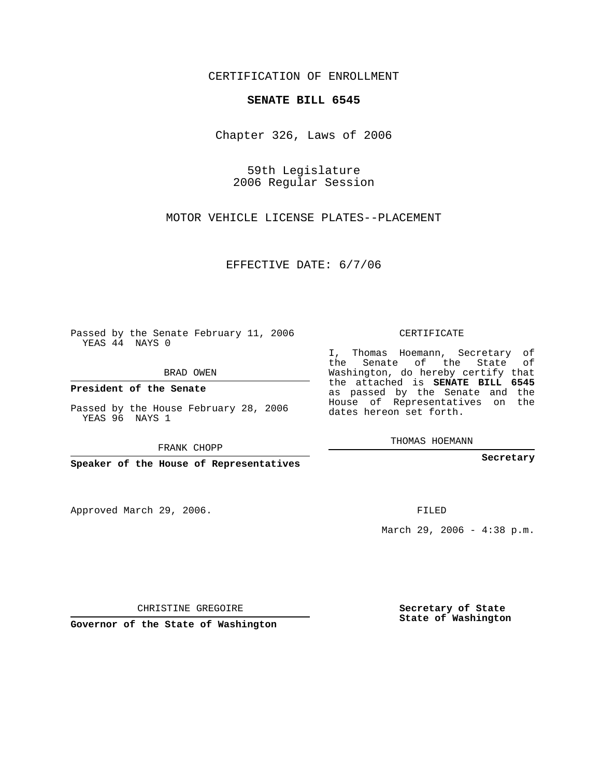CERTIFICATION OF ENROLLMENT

## **SENATE BILL 6545**

Chapter 326, Laws of 2006

59th Legislature 2006 Regular Session

MOTOR VEHICLE LICENSE PLATES--PLACEMENT

EFFECTIVE DATE: 6/7/06

Passed by the Senate February 11, 2006 YEAS 44 NAYS 0

BRAD OWEN

**President of the Senate**

Passed by the House February 28, 2006 YEAS 96 NAYS 1

FRANK CHOPP

**Speaker of the House of Representatives**

Approved March 29, 2006.

CERTIFICATE

I, Thomas Hoemann, Secretary of the Senate of the State of Washington, do hereby certify that the attached is **SENATE BILL 6545** as passed by the Senate and the House of Representatives on the dates hereon set forth.

THOMAS HOEMANN

**Secretary**

FILED

March 29, 2006 - 4:38 p.m.

CHRISTINE GREGOIRE

**Governor of the State of Washington**

**Secretary of State State of Washington**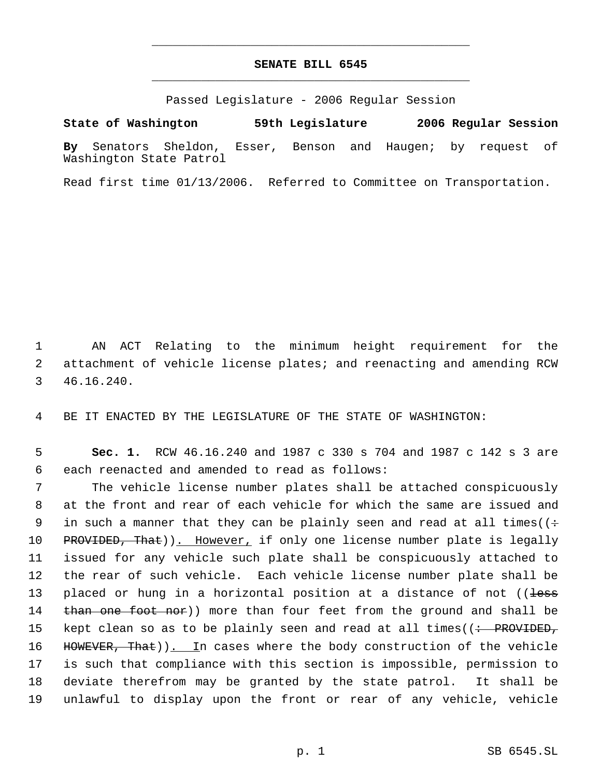## **SENATE BILL 6545** \_\_\_\_\_\_\_\_\_\_\_\_\_\_\_\_\_\_\_\_\_\_\_\_\_\_\_\_\_\_\_\_\_\_\_\_\_\_\_\_\_\_\_\_\_

\_\_\_\_\_\_\_\_\_\_\_\_\_\_\_\_\_\_\_\_\_\_\_\_\_\_\_\_\_\_\_\_\_\_\_\_\_\_\_\_\_\_\_\_\_

Passed Legislature - 2006 Regular Session

**State of Washington 59th Legislature 2006 Regular Session By** Senators Sheldon, Esser, Benson and Haugen; by request of Washington State Patrol

Read first time 01/13/2006. Referred to Committee on Transportation.

 1 AN ACT Relating to the minimum height requirement for the 2 attachment of vehicle license plates; and reenacting and amending RCW 3 46.16.240.

4 BE IT ENACTED BY THE LEGISLATURE OF THE STATE OF WASHINGTON:

 5 **Sec. 1.** RCW 46.16.240 and 1987 c 330 s 704 and 1987 c 142 s 3 are 6 each reenacted and amended to read as follows:

 7 The vehicle license number plates shall be attached conspicuously 8 at the front and rear of each vehicle for which the same are issued and 9 in such a manner that they can be plainly seen and read at all times( $($ + 10 PROVIDED, That)). However, if only one license number plate is legally 11 issued for any vehicle such plate shall be conspicuously attached to 12 the rear of such vehicle. Each vehicle license number plate shall be 13 placed or hung in a horizontal position at a distance of not ((less 14 than one foot nor)) more than four feet from the ground and shall be 15 kept clean so as to be plainly seen and read at all times((<del>: PROVIDED,</del> 16 HOWEVER, That)). In cases where the body construction of the vehicle 17 is such that compliance with this section is impossible, permission to 18 deviate therefrom may be granted by the state patrol. It shall be 19 unlawful to display upon the front or rear of any vehicle, vehicle